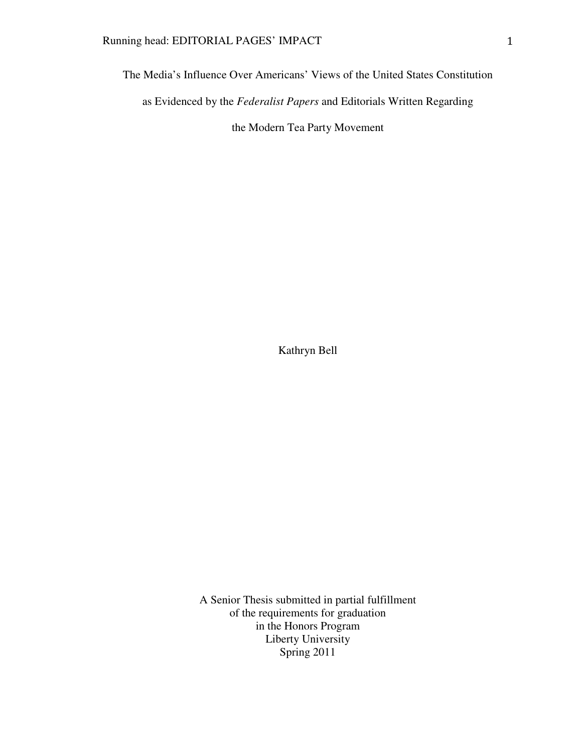The Media's Influence Over Americans' Views of the United States Constitution as Evidenced by the *Federalist Papers* and Editorials Written Regarding the Modern Tea Party Movement

Kathryn Bell

A Senior Thesis submitted in partial fulfillment of the requirements for graduation in the Honors Program Liberty University Spring 2011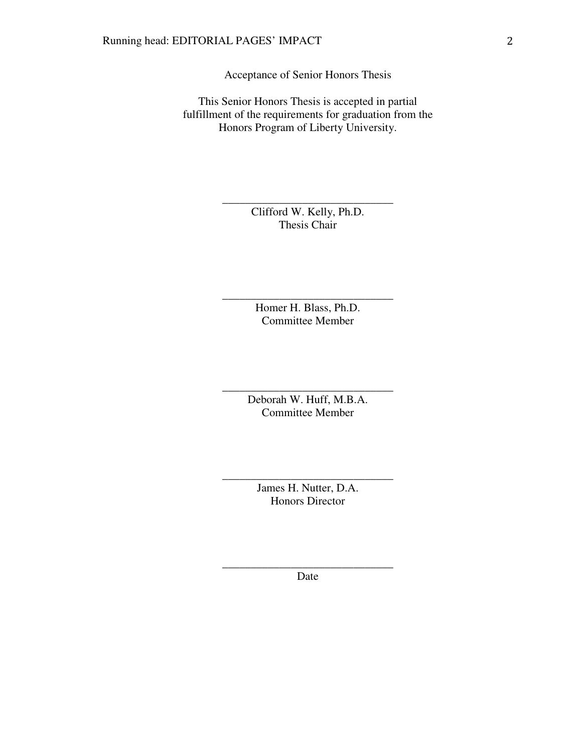Acceptance of Senior Honors Thesis

This Senior Honors Thesis is accepted in partial fulfillment of the requirements for graduation from the Honors Program of Liberty University.

> Clifford W. Kelly, Ph.D. Thesis Chair

\_\_\_\_\_\_\_\_\_\_\_\_\_\_\_\_\_\_\_\_\_\_\_\_\_\_\_\_\_\_

Homer H. Blass, Ph.D. Committee Member

\_\_\_\_\_\_\_\_\_\_\_\_\_\_\_\_\_\_\_\_\_\_\_\_\_\_\_\_\_\_

Deborah W. Huff, M.B.A. Committee Member

\_\_\_\_\_\_\_\_\_\_\_\_\_\_\_\_\_\_\_\_\_\_\_\_\_\_\_\_\_\_

James H. Nutter, D.A. Honors Director

\_\_\_\_\_\_\_\_\_\_\_\_\_\_\_\_\_\_\_\_\_\_\_\_\_\_\_\_\_\_

\_\_\_\_\_\_\_\_\_\_\_\_\_\_\_\_\_\_\_\_\_\_\_\_\_\_\_\_\_\_ Date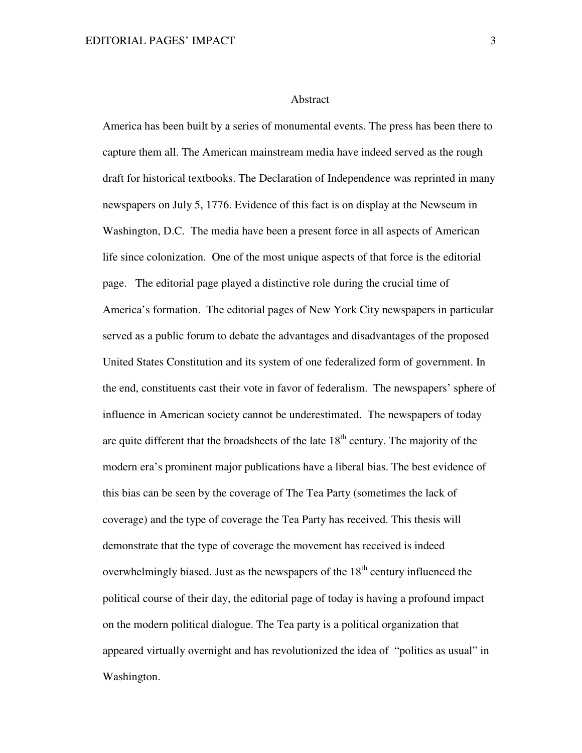#### Abstract

America has been built by a series of monumental events. The press has been there to capture them all. The American mainstream media have indeed served as the rough draft for historical textbooks. The Declaration of Independence was reprinted in many newspapers on July 5, 1776. Evidence of this fact is on display at the Newseum in Washington, D.C. The media have been a present force in all aspects of American life since colonization. One of the most unique aspects of that force is the editorial page. The editorial page played a distinctive role during the crucial time of America's formation. The editorial pages of New York City newspapers in particular served as a public forum to debate the advantages and disadvantages of the proposed United States Constitution and its system of one federalized form of government. In the end, constituents cast their vote in favor of federalism. The newspapers' sphere of influence in American society cannot be underestimated. The newspapers of today are quite different that the broadsheets of the late  $18<sup>th</sup>$  century. The majority of the modern era's prominent major publications have a liberal bias. The best evidence of this bias can be seen by the coverage of The Tea Party (sometimes the lack of coverage) and the type of coverage the Tea Party has received. This thesis will demonstrate that the type of coverage the movement has received is indeed overwhelmingly biased. Just as the newspapers of the  $18<sup>th</sup>$  century influenced the political course of their day, the editorial page of today is having a profound impact on the modern political dialogue. The Tea party is a political organization that appeared virtually overnight and has revolutionized the idea of "politics as usual" in Washington.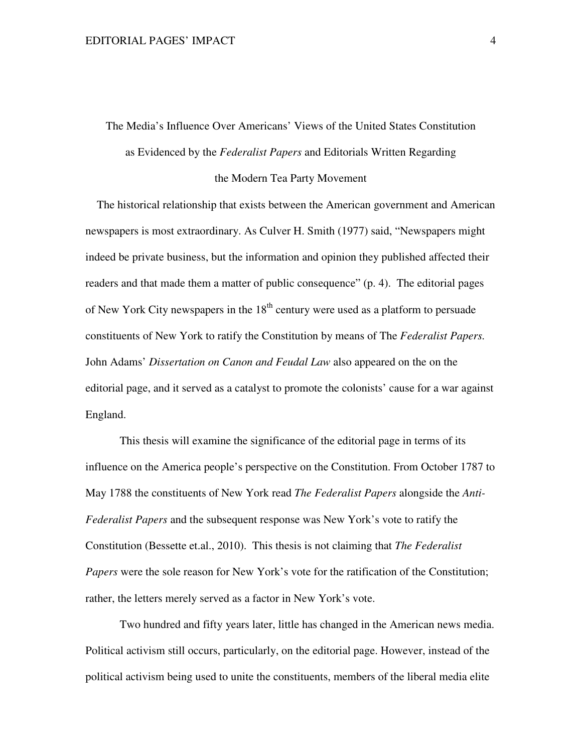The Media's Influence Over Americans' Views of the United States Constitution as Evidenced by the *Federalist Papers* and Editorials Written Regarding the Modern Tea Party Movement

 The historical relationship that exists between the American government and American newspapers is most extraordinary. As Culver H. Smith (1977) said, "Newspapers might indeed be private business, but the information and opinion they published affected their readers and that made them a matter of public consequence" (p. 4). The editorial pages of New York City newspapers in the  $18<sup>th</sup>$  century were used as a platform to persuade constituents of New York to ratify the Constitution by means of The *Federalist Papers.* John Adams' *Dissertation on Canon and Feudal Law* also appeared on the on the editorial page, and it served as a catalyst to promote the colonists' cause for a war against England.

This thesis will examine the significance of the editorial page in terms of its influence on the America people's perspective on the Constitution. From October 1787 to May 1788 the constituents of New York read *The Federalist Papers* alongside the *Anti-Federalist Papers* and the subsequent response was New York's vote to ratify the Constitution (Bessette et.al., 2010). This thesis is not claiming that *The Federalist Papers* were the sole reason for New York's vote for the ratification of the Constitution; rather, the letters merely served as a factor in New York's vote.

Two hundred and fifty years later, little has changed in the American news media. Political activism still occurs, particularly, on the editorial page. However, instead of the political activism being used to unite the constituents, members of the liberal media elite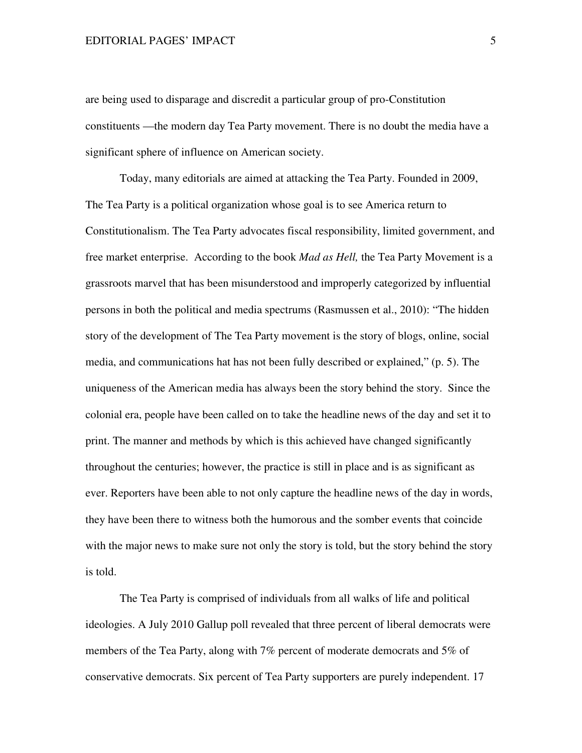are being used to disparage and discredit a particular group of pro-Constitution constituents —the modern day Tea Party movement. There is no doubt the media have a significant sphere of influence on American society.

 Today, many editorials are aimed at attacking the Tea Party. Founded in 2009, The Tea Party is a political organization whose goal is to see America return to Constitutionalism. The Tea Party advocates fiscal responsibility, limited government, and free market enterprise. According to the book *Mad as Hell,* the Tea Party Movement is a grassroots marvel that has been misunderstood and improperly categorized by influential persons in both the political and media spectrums (Rasmussen et al., 2010): "The hidden story of the development of The Tea Party movement is the story of blogs, online, social media, and communications hat has not been fully described or explained," (p. 5). The uniqueness of the American media has always been the story behind the story. Since the colonial era, people have been called on to take the headline news of the day and set it to print. The manner and methods by which is this achieved have changed significantly throughout the centuries; however, the practice is still in place and is as significant as ever. Reporters have been able to not only capture the headline news of the day in words, they have been there to witness both the humorous and the somber events that coincide with the major news to make sure not only the story is told, but the story behind the story is told.

The Tea Party is comprised of individuals from all walks of life and political ideologies. A July 2010 Gallup poll revealed that three percent of liberal democrats were members of the Tea Party, along with 7% percent of moderate democrats and 5% of conservative democrats. Six percent of Tea Party supporters are purely independent. 17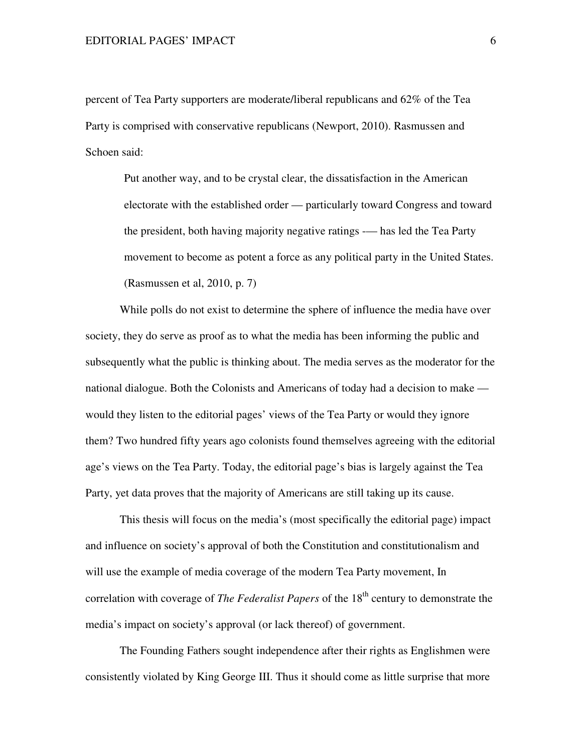percent of Tea Party supporters are moderate/liberal republicans and 62% of the Tea Party is comprised with conservative republicans (Newport, 2010). Rasmussen and Schoen said:

 Put another way, and to be crystal clear, the dissatisfaction in the American electorate with the established order — particularly toward Congress and toward the president, both having majority negative ratings -— has led the Tea Party movement to become as potent a force as any political party in the United States. (Rasmussen et al, 2010, p. 7)

While polls do not exist to determine the sphere of influence the media have over society, they do serve as proof as to what the media has been informing the public and subsequently what the public is thinking about. The media serves as the moderator for the national dialogue. Both the Colonists and Americans of today had a decision to make would they listen to the editorial pages' views of the Tea Party or would they ignore them? Two hundred fifty years ago colonists found themselves agreeing with the editorial age's views on the Tea Party. Today, the editorial page's bias is largely against the Tea Party, yet data proves that the majority of Americans are still taking up its cause.

This thesis will focus on the media's (most specifically the editorial page) impact and influence on society's approval of both the Constitution and constitutionalism and will use the example of media coverage of the modern Tea Party movement, In correlation with coverage of *The Federalist Papers* of the 18<sup>th</sup> century to demonstrate the media's impact on society's approval (or lack thereof) of government.

 The Founding Fathers sought independence after their rights as Englishmen were consistently violated by King George III. Thus it should come as little surprise that more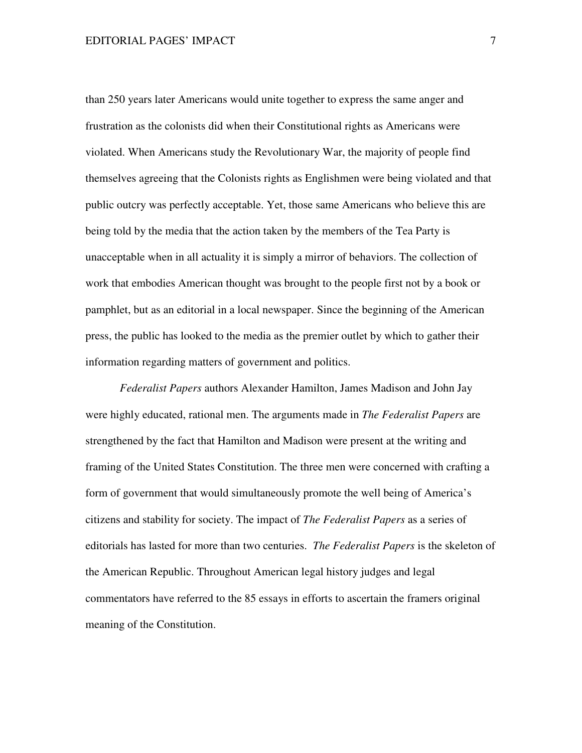than 250 years later Americans would unite together to express the same anger and frustration as the colonists did when their Constitutional rights as Americans were violated. When Americans study the Revolutionary War, the majority of people find themselves agreeing that the Colonists rights as Englishmen were being violated and that public outcry was perfectly acceptable. Yet, those same Americans who believe this are being told by the media that the action taken by the members of the Tea Party is unacceptable when in all actuality it is simply a mirror of behaviors. The collection of work that embodies American thought was brought to the people first not by a book or pamphlet, but as an editorial in a local newspaper. Since the beginning of the American press, the public has looked to the media as the premier outlet by which to gather their information regarding matters of government and politics.

*Federalist Papers* authors Alexander Hamilton, James Madison and John Jay were highly educated, rational men. The arguments made in *The Federalist Papers* are strengthened by the fact that Hamilton and Madison were present at the writing and framing of the United States Constitution. The three men were concerned with crafting a form of government that would simultaneously promote the well being of America's citizens and stability for society. The impact of *The Federalist Papers* as a series of editorials has lasted for more than two centuries. *The Federalist Papers* is the skeleton of the American Republic. Throughout American legal history judges and legal commentators have referred to the 85 essays in efforts to ascertain the framers original meaning of the Constitution.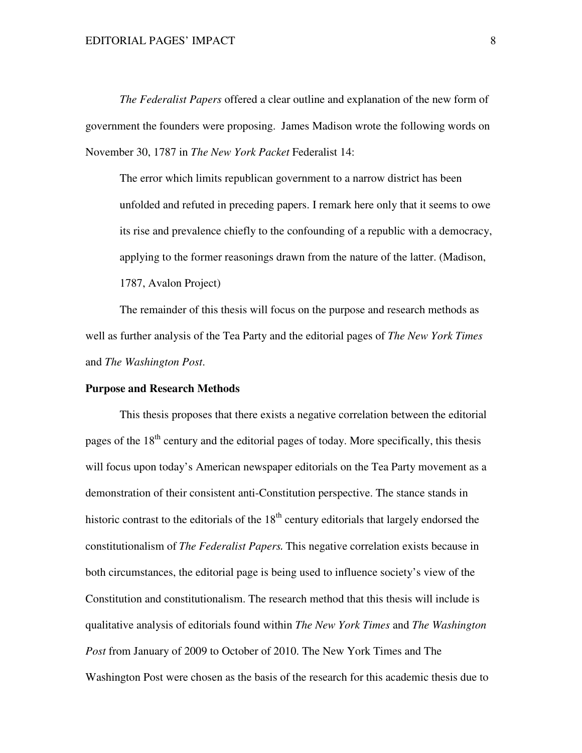*The Federalist Papers* offered a clear outline and explanation of the new form of government the founders were proposing. James Madison wrote the following words on November 30, 1787 in *The New York Packet* Federalist 14:

The error which limits republican government to a narrow district has been unfolded and refuted in preceding papers. I remark here only that it seems to owe its rise and prevalence chiefly to the confounding of a republic with a democracy, applying to the former reasonings drawn from the nature of the latter. (Madison, 1787, Avalon Project)

 The remainder of this thesis will focus on the purpose and research methods as well as further analysis of the Tea Party and the editorial pages of *The New York Times* and *The Washington Post*.

#### **Purpose and Research Methods**

 This thesis proposes that there exists a negative correlation between the editorial pages of the  $18<sup>th</sup>$  century and the editorial pages of today. More specifically, this thesis will focus upon today's American newspaper editorials on the Tea Party movement as a demonstration of their consistent anti-Constitution perspective. The stance stands in historic contrast to the editorials of the  $18<sup>th</sup>$  century editorials that largely endorsed the constitutionalism of *The Federalist Papers*. This negative correlation exists because in both circumstances, the editorial page is being used to influence society's view of the Constitution and constitutionalism. The research method that this thesis will include is qualitative analysis of editorials found within *The New York Times* and *The Washington Post* from January of 2009 to October of 2010. The New York Times and The Washington Post were chosen as the basis of the research for this academic thesis due to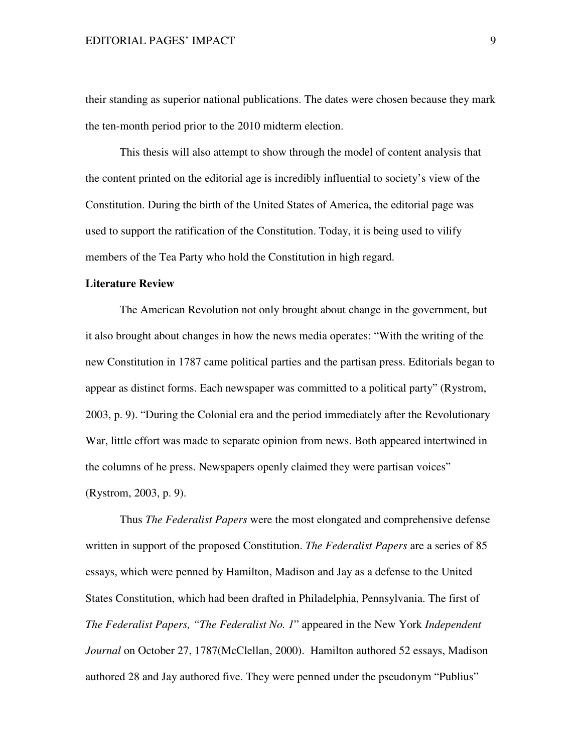their standing as superior national publications. The dates were chosen because they mark the ten-month period prior to the 2010 midterm election.

 This thesis will also attempt to show through the model of content analysis that the content printed on the editorial age is incredibly influential to society's view of the Constitution. During the birth of the United States of America, the editorial page was used to support the ratification of the Constitution. Today, it is being used to vilify members of the Tea Party who hold the Constitution in high regard.

### **Literature Review**

 The American Revolution not only brought about change in the government, but it also brought about changes in how the news media operates: "With the writing of the new Constitution in 1787 came political parties and the partisan press. Editorials began to appear as distinct forms. Each newspaper was committed to a political party" (Rystrom, 2003, p. 9). "During the Colonial era and the period immediately after the Revolutionary War, little effort was made to separate opinion from news. Both appeared intertwined in the columns of he press. Newspapers openly claimed they were partisan voices" (Rystrom, 2003, p. 9).

Thus *The Federalist Papers* were the most elongated and comprehensive defense written in support of the proposed Constitution. *The Federalist Papers* are a series of 85 essays, which were penned by Hamilton, Madison and Jay as a defense to the United States Constitution, which had been drafted in Philadelphia, Pennsylvania. The first of *The Federalist Papers, "The Federalist No. 1*" appeared in the New York *Independent Journal* on October 27, 1787(McClellan, 2000). Hamilton authored 52 essays, Madison authored 28 and Jay authored five. They were penned under the pseudonym "Publius"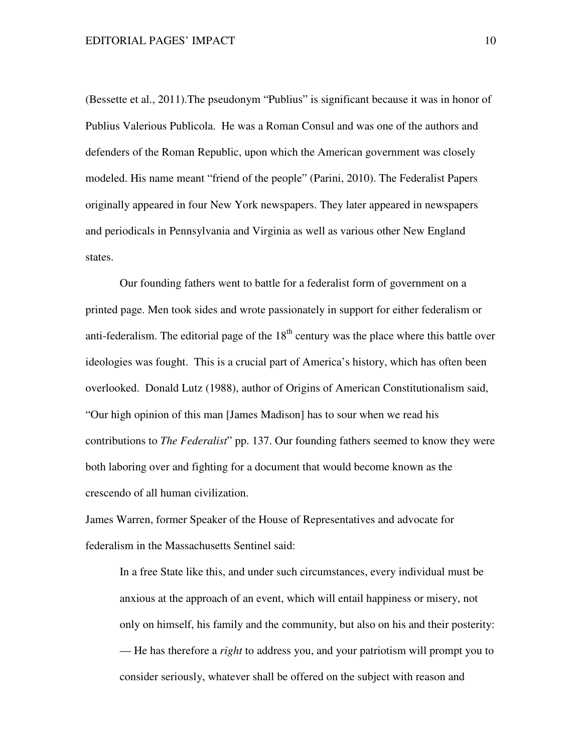(Bessette et al., 2011).The pseudonym "Publius" is significant because it was in honor of Publius Valerious Publicola. He was a Roman Consul and was one of the authors and defenders of the Roman Republic, upon which the American government was closely modeled. His name meant "friend of the people" (Parini, 2010). The Federalist Papers originally appeared in four New York newspapers. They later appeared in newspapers and periodicals in Pennsylvania and Virginia as well as various other New England states.

 Our founding fathers went to battle for a federalist form of government on a printed page. Men took sides and wrote passionately in support for either federalism or anti-federalism. The editorial page of the  $18<sup>th</sup>$  century was the place where this battle over ideologies was fought. This is a crucial part of America's history, which has often been overlooked. Donald Lutz (1988), author of Origins of American Constitutionalism said, "Our high opinion of this man [James Madison] has to sour when we read his contributions to *The Federalist*" pp. 137. Our founding fathers seemed to know they were both laboring over and fighting for a document that would become known as the crescendo of all human civilization.

James Warren, former Speaker of the House of Representatives and advocate for federalism in the Massachusetts Sentinel said:

In a free State like this, and under such circumstances, every individual must be anxious at the approach of an event, which will entail happiness or misery, not only on himself, his family and the community, but also on his and their posterity: — He has therefore a *right* to address you, and your patriotism will prompt you to consider seriously, whatever shall be offered on the subject with reason and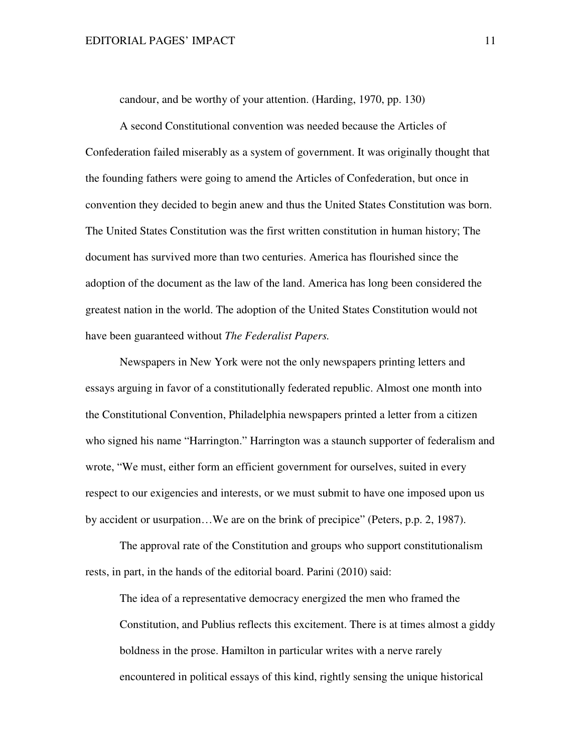candour, and be worthy of your attention. (Harding, 1970, pp. 130)

 A second Constitutional convention was needed because the Articles of Confederation failed miserably as a system of government. It was originally thought that the founding fathers were going to amend the Articles of Confederation, but once in convention they decided to begin anew and thus the United States Constitution was born. The United States Constitution was the first written constitution in human history; The document has survived more than two centuries. America has flourished since the adoption of the document as the law of the land. America has long been considered the greatest nation in the world. The adoption of the United States Constitution would not have been guaranteed without *The Federalist Papers.*

 Newspapers in New York were not the only newspapers printing letters and essays arguing in favor of a constitutionally federated republic. Almost one month into the Constitutional Convention, Philadelphia newspapers printed a letter from a citizen who signed his name "Harrington." Harrington was a staunch supporter of federalism and wrote, "We must, either form an efficient government for ourselves, suited in every respect to our exigencies and interests, or we must submit to have one imposed upon us by accident or usurpation…We are on the brink of precipice" (Peters, p.p. 2, 1987).

 The approval rate of the Constitution and groups who support constitutionalism rests, in part, in the hands of the editorial board. Parini (2010) said:

The idea of a representative democracy energized the men who framed the Constitution, and Publius reflects this excitement. There is at times almost a giddy boldness in the prose. Hamilton in particular writes with a nerve rarely encountered in political essays of this kind, rightly sensing the unique historical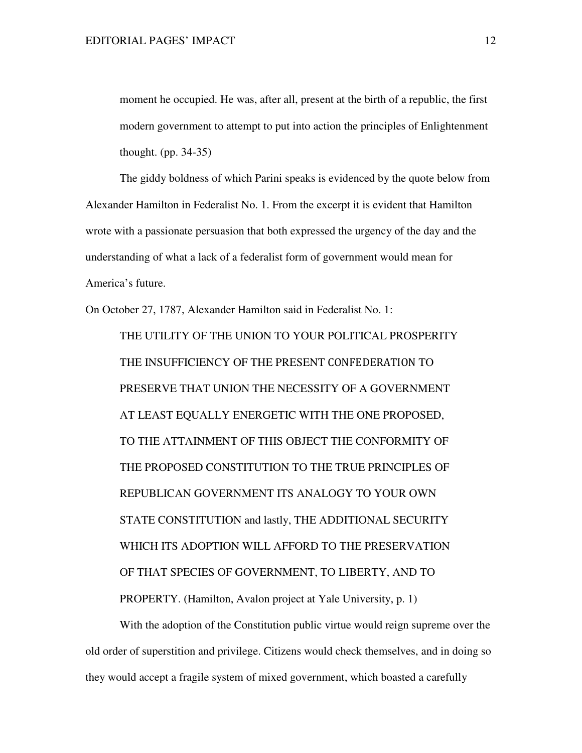moment he occupied. He was, after all, present at the birth of a republic, the first modern government to attempt to put into action the principles of Enlightenment thought. (pp. 34-35)

 The giddy boldness of which Parini speaks is evidenced by the quote below from Alexander Hamilton in Federalist No. 1. From the excerpt it is evident that Hamilton wrote with a passionate persuasion that both expressed the urgency of the day and the understanding of what a lack of a federalist form of government would mean for America's future.

On October 27, 1787, Alexander Hamilton said in Federalist No. 1:

 THE UTILITY OF THE UNION TO YOUR POLITICAL PROSPERITY THE INSUFFICIENCY OF THE PRESENT CONFEDERATION TO PRESERVE THAT UNION THE NECESSITY OF A GOVERNMENT AT LEAST EQUALLY ENERGETIC WITH THE ONE PROPOSED, TO THE ATTAINMENT OF THIS OBJECT THE CONFORMITY OF THE PROPOSED CONSTITUTION TO THE TRUE PRINCIPLES OF REPUBLICAN GOVERNMENT ITS ANALOGY TO YOUR OWN STATE CONSTITUTION and lastly, THE ADDITIONAL SECURITY WHICH ITS ADOPTION WILL AFFORD TO THE PRESERVATION OF THAT SPECIES OF GOVERNMENT, TO LIBERTY, AND TO PROPERTY. (Hamilton, Avalon project at Yale University, p. 1)

With the adoption of the Constitution public virtue would reign supreme over the old order of superstition and privilege. Citizens would check themselves, and in doing so they would accept a fragile system of mixed government, which boasted a carefully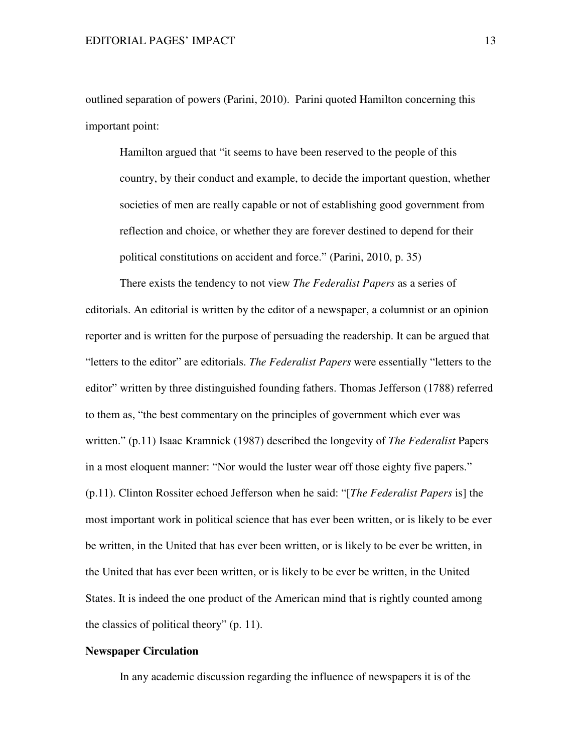outlined separation of powers (Parini, 2010). Parini quoted Hamilton concerning this important point:

Hamilton argued that "it seems to have been reserved to the people of this country, by their conduct and example, to decide the important question, whether societies of men are really capable or not of establishing good government from reflection and choice, or whether they are forever destined to depend for their political constitutions on accident and force." (Parini, 2010, p. 35)

 There exists the tendency to not view *The Federalist Papers* as a series of editorials. An editorial is written by the editor of a newspaper, a columnist or an opinion reporter and is written for the purpose of persuading the readership. It can be argued that "letters to the editor" are editorials. *The Federalist Papers* were essentially "letters to the editor" written by three distinguished founding fathers. Thomas Jefferson (1788) referred to them as, "the best commentary on the principles of government which ever was written." (p.11) Isaac Kramnick (1987) described the longevity of *The Federalist* Papers in a most eloquent manner: "Nor would the luster wear off those eighty five papers." (p.11). Clinton Rossiter echoed Jefferson when he said: "[*The Federalist Papers* is] the most important work in political science that has ever been written, or is likely to be ever be written, in the United that has ever been written, or is likely to be ever be written, in the United that has ever been written, or is likely to be ever be written, in the United States. It is indeed the one product of the American mind that is rightly counted among the classics of political theory" (p. 11).

# **Newspaper Circulation**

In any academic discussion regarding the influence of newspapers it is of the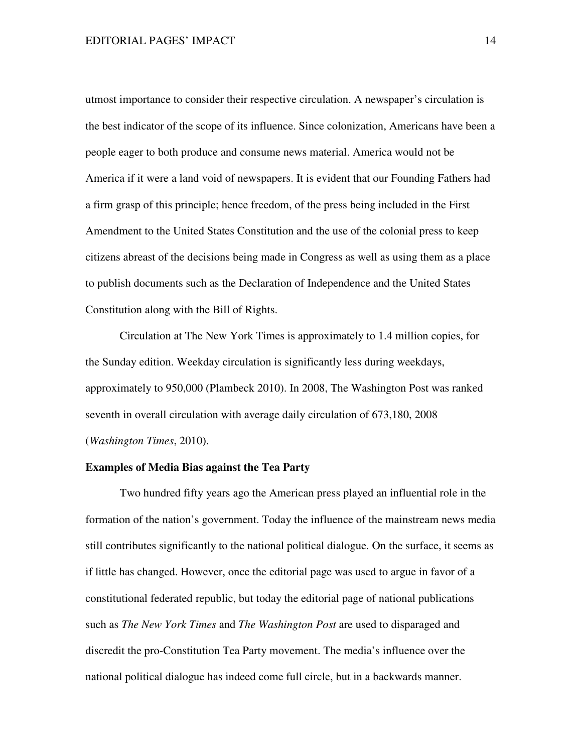utmost importance to consider their respective circulation. A newspaper's circulation is the best indicator of the scope of its influence. Since colonization, Americans have been a people eager to both produce and consume news material. America would not be America if it were a land void of newspapers. It is evident that our Founding Fathers had a firm grasp of this principle; hence freedom, of the press being included in the First Amendment to the United States Constitution and the use of the colonial press to keep citizens abreast of the decisions being made in Congress as well as using them as a place to publish documents such as the Declaration of Independence and the United States Constitution along with the Bill of Rights.

Circulation at The New York Times is approximately to 1.4 million copies, for the Sunday edition. Weekday circulation is significantly less during weekdays, approximately to 950,000 (Plambeck 2010). In 2008, The Washington Post was ranked seventh in overall circulation with average daily circulation of 673,180, 2008 (*Washington Times*, 2010).

# **Examples of Media Bias against the Tea Party**

Two hundred fifty years ago the American press played an influential role in the formation of the nation's government. Today the influence of the mainstream news media still contributes significantly to the national political dialogue. On the surface, it seems as if little has changed. However, once the editorial page was used to argue in favor of a constitutional federated republic, but today the editorial page of national publications such as *The New York Times* and *The Washington Post* are used to disparaged and discredit the pro-Constitution Tea Party movement. The media's influence over the national political dialogue has indeed come full circle, but in a backwards manner.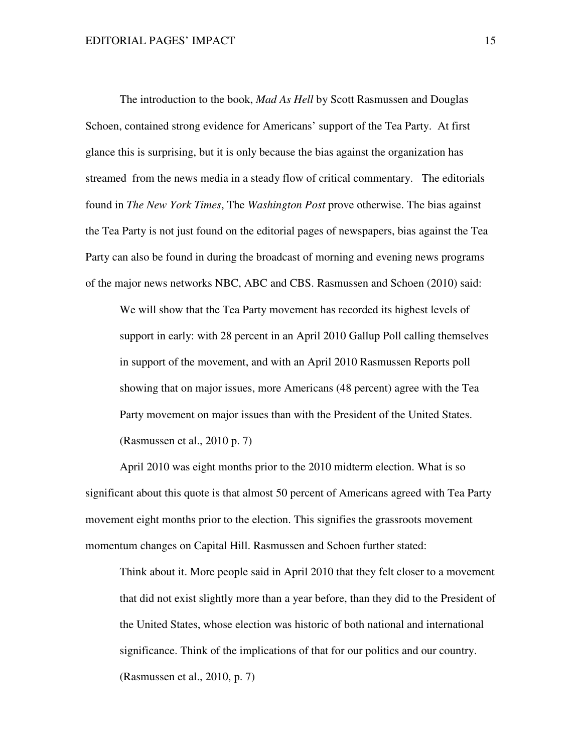The introduction to the book, *Mad As Hell* by Scott Rasmussen and Douglas Schoen, contained strong evidence for Americans' support of the Tea Party. At first glance this is surprising, but it is only because the bias against the organization has streamed from the news media in a steady flow of critical commentary. The editorials found in *The New York Times*, The *Washington Post* prove otherwise. The bias against the Tea Party is not just found on the editorial pages of newspapers, bias against the Tea Party can also be found in during the broadcast of morning and evening news programs of the major news networks NBC, ABC and CBS. Rasmussen and Schoen (2010) said:

 We will show that the Tea Party movement has recorded its highest levels of support in early: with 28 percent in an April 2010 Gallup Poll calling themselves in support of the movement, and with an April 2010 Rasmussen Reports poll showing that on major issues, more Americans (48 percent) agree with the Tea Party movement on major issues than with the President of the United States. (Rasmussen et al., 2010 p. 7)

 April 2010 was eight months prior to the 2010 midterm election. What is so significant about this quote is that almost 50 percent of Americans agreed with Tea Party movement eight months prior to the election. This signifies the grassroots movement momentum changes on Capital Hill. Rasmussen and Schoen further stated:

Think about it. More people said in April 2010 that they felt closer to a movement that did not exist slightly more than a year before, than they did to the President of the United States, whose election was historic of both national and international significance. Think of the implications of that for our politics and our country. (Rasmussen et al., 2010, p. 7)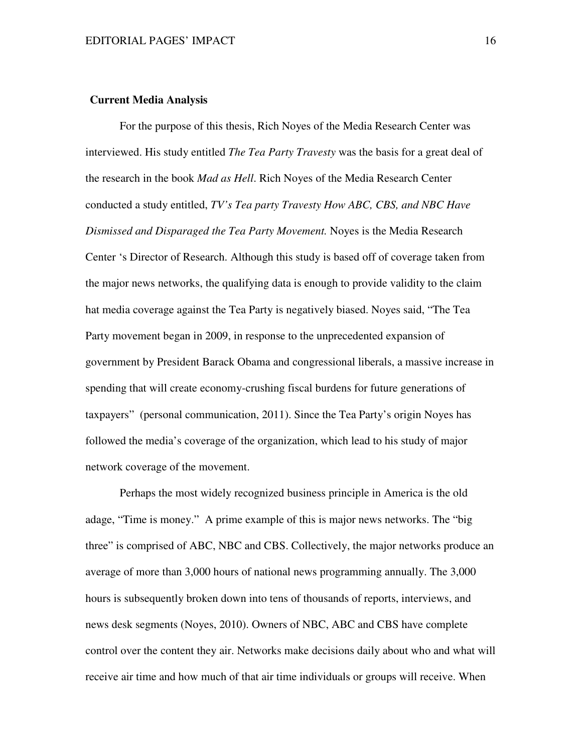## **Current Media Analysis**

For the purpose of this thesis, Rich Noyes of the Media Research Center was interviewed. His study entitled *The Tea Party Travesty* was the basis for a great deal of the research in the book *Mad as Hell*. Rich Noyes of the Media Research Center conducted a study entitled, *TV's Tea party Travesty How ABC, CBS, and NBC Have Dismissed and Disparaged the Tea Party Movement.* Noyes is the Media Research Center 's Director of Research. Although this study is based off of coverage taken from the major news networks, the qualifying data is enough to provide validity to the claim hat media coverage against the Tea Party is negatively biased. Noyes said, "The Tea Party movement began in 2009, in response to the unprecedented expansion of government by President Barack Obama and congressional liberals, a massive increase in spending that will create economy-crushing fiscal burdens for future generations of taxpayers" (personal communication, 2011). Since the Tea Party's origin Noyes has followed the media's coverage of the organization, which lead to his study of major network coverage of the movement.

Perhaps the most widely recognized business principle in America is the old adage, "Time is money." A prime example of this is major news networks. The "big three" is comprised of ABC, NBC and CBS. Collectively, the major networks produce an average of more than 3,000 hours of national news programming annually. The 3,000 hours is subsequently broken down into tens of thousands of reports, interviews, and news desk segments (Noyes, 2010). Owners of NBC, ABC and CBS have complete control over the content they air. Networks make decisions daily about who and what will receive air time and how much of that air time individuals or groups will receive. When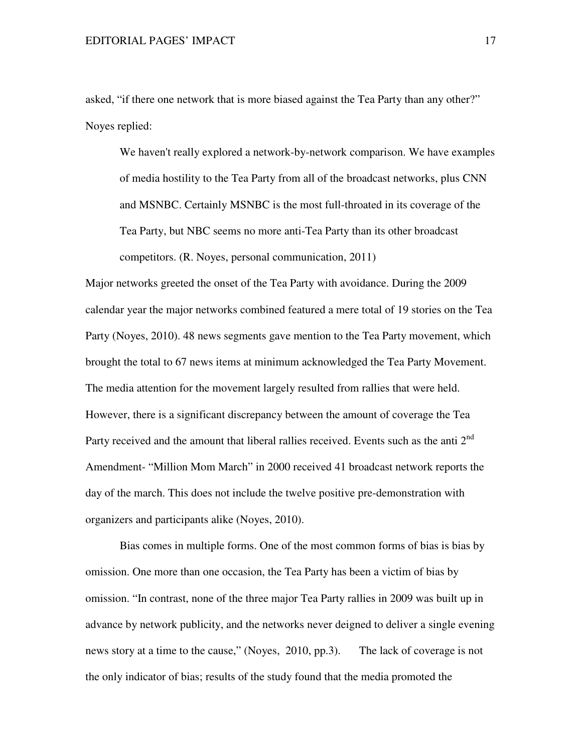asked, "if there one network that is more biased against the Tea Party than any other?" Noyes replied:

We haven't really explored a network-by-network comparison. We have examples of media hostility to the Tea Party from all of the broadcast networks, plus CNN and MSNBC. Certainly MSNBC is the most full-throated in its coverage of the Tea Party, but NBC seems no more anti-Tea Party than its other broadcast competitors. (R. Noyes, personal communication, 2011)

Major networks greeted the onset of the Tea Party with avoidance. During the 2009 calendar year the major networks combined featured a mere total of 19 stories on the Tea Party (Noyes, 2010). 48 news segments gave mention to the Tea Party movement, which brought the total to 67 news items at minimum acknowledged the Tea Party Movement. The media attention for the movement largely resulted from rallies that were held. However, there is a significant discrepancy between the amount of coverage the Tea Party received and the amount that liberal rallies received. Events such as the anti  $2<sup>nd</sup>$ Amendment- "Million Mom March" in 2000 received 41 broadcast network reports the day of the march. This does not include the twelve positive pre-demonstration with organizers and participants alike (Noyes, 2010).

 Bias comes in multiple forms. One of the most common forms of bias is bias by omission. One more than one occasion, the Tea Party has been a victim of bias by omission. "In contrast, none of the three major Tea Party rallies in 2009 was built up in advance by network publicity, and the networks never deigned to deliver a single evening news story at a time to the cause," (Noyes, 2010, pp.3). The lack of coverage is not the only indicator of bias; results of the study found that the media promoted the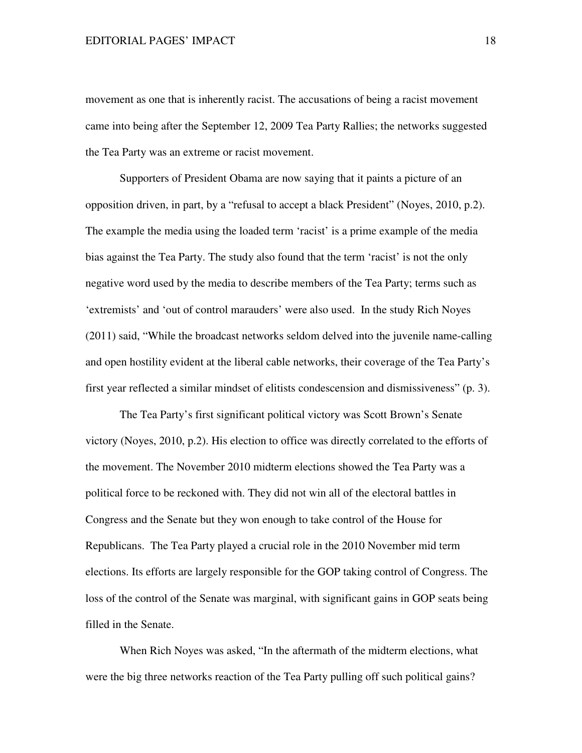movement as one that is inherently racist. The accusations of being a racist movement came into being after the September 12, 2009 Tea Party Rallies; the networks suggested the Tea Party was an extreme or racist movement.

 Supporters of President Obama are now saying that it paints a picture of an opposition driven, in part, by a "refusal to accept a black President" (Noyes, 2010, p.2). The example the media using the loaded term 'racist' is a prime example of the media bias against the Tea Party. The study also found that the term 'racist' is not the only negative word used by the media to describe members of the Tea Party; terms such as 'extremists' and 'out of control marauders' were also used. In the study Rich Noyes (2011) said, "While the broadcast networks seldom delved into the juvenile name-calling and open hostility evident at the liberal cable networks, their coverage of the Tea Party's first year reflected a similar mindset of elitists condescension and dismissiveness" (p. 3).

The Tea Party's first significant political victory was Scott Brown's Senate victory (Noyes, 2010, p.2). His election to office was directly correlated to the efforts of the movement. The November 2010 midterm elections showed the Tea Party was a political force to be reckoned with. They did not win all of the electoral battles in Congress and the Senate but they won enough to take control of the House for Republicans. The Tea Party played a crucial role in the 2010 November mid term elections. Its efforts are largely responsible for the GOP taking control of Congress. The loss of the control of the Senate was marginal, with significant gains in GOP seats being filled in the Senate.

When Rich Noyes was asked, "In the aftermath of the midterm elections, what were the big three networks reaction of the Tea Party pulling off such political gains?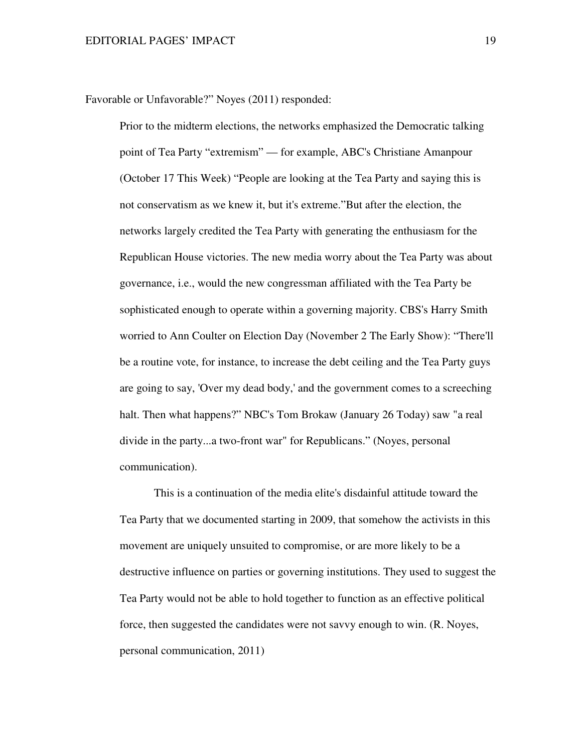Favorable or Unfavorable?" Noyes (2011) responded:

Prior to the midterm elections, the networks emphasized the Democratic talking point of Tea Party "extremism" — for example, ABC's Christiane Amanpour (October 17 This Week) "People are looking at the Tea Party and saying this is not conservatism as we knew it, but it's extreme."But after the election, the networks largely credited the Tea Party with generating the enthusiasm for the Republican House victories. The new media worry about the Tea Party was about governance, i.e., would the new congressman affiliated with the Tea Party be sophisticated enough to operate within a governing majority. CBS's Harry Smith worried to Ann Coulter on Election Day (November 2 The Early Show): "There'll be a routine vote, for instance, to increase the debt ceiling and the Tea Party guys are going to say, 'Over my dead body,' and the government comes to a screeching halt. Then what happens?" NBC's Tom Brokaw (January 26 Today) saw "a real divide in the party...a two-front war" for Republicans." (Noyes, personal communication).

 This is a continuation of the media elite's disdainful attitude toward the Tea Party that we documented starting in 2009, that somehow the activists in this movement are uniquely unsuited to compromise, or are more likely to be a destructive influence on parties or governing institutions. They used to suggest the Tea Party would not be able to hold together to function as an effective political force, then suggested the candidates were not savvy enough to win. (R. Noyes, personal communication, 2011)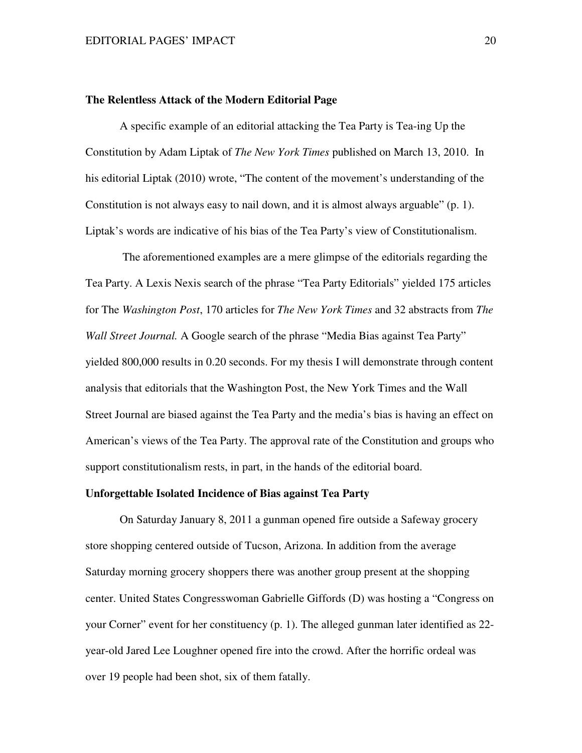#### **The Relentless Attack of the Modern Editorial Page**

A specific example of an editorial attacking the Tea Party is Tea-ing Up the Constitution by Adam Liptak of *The New York Times* published on March 13, 2010. In his editorial Liptak (2010) wrote, "The content of the movement's understanding of the Constitution is not always easy to nail down, and it is almost always arguable" (p. 1). Liptak's words are indicative of his bias of the Tea Party's view of Constitutionalism.

 The aforementioned examples are a mere glimpse of the editorials regarding the Tea Party. A Lexis Nexis search of the phrase "Tea Party Editorials" yielded 175 articles for The *Washington Post*, 170 articles for *The New York Times* and 32 abstracts from *The Wall Street Journal.* A Google search of the phrase "Media Bias against Tea Party" yielded 800,000 results in 0.20 seconds. For my thesis I will demonstrate through content analysis that editorials that the Washington Post, the New York Times and the Wall Street Journal are biased against the Tea Party and the media's bias is having an effect on American's views of the Tea Party. The approval rate of the Constitution and groups who support constitutionalism rests, in part, in the hands of the editorial board.

## **Unforgettable Isolated Incidence of Bias against Tea Party**

On Saturday January 8, 2011 a gunman opened fire outside a Safeway grocery store shopping centered outside of Tucson, Arizona. In addition from the average Saturday morning grocery shoppers there was another group present at the shopping center. United States Congresswoman Gabrielle Giffords (D) was hosting a "Congress on your Corner" event for her constituency (p. 1). The alleged gunman later identified as 22 year-old Jared Lee Loughner opened fire into the crowd. After the horrific ordeal was over 19 people had been shot, six of them fatally.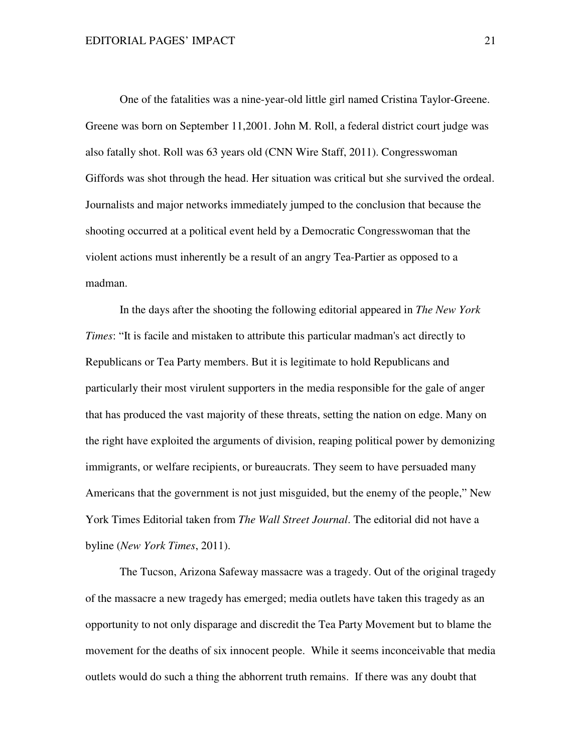One of the fatalities was a nine-year-old little girl named Cristina Taylor-Greene. Greene was born on September 11,2001. John M. Roll, a federal district court judge was also fatally shot. Roll was 63 years old (CNN Wire Staff, 2011). Congresswoman Giffords was shot through the head. Her situation was critical but she survived the ordeal. Journalists and major networks immediately jumped to the conclusion that because the shooting occurred at a political event held by a Democratic Congresswoman that the violent actions must inherently be a result of an angry Tea-Partier as opposed to a madman.

 In the days after the shooting the following editorial appeared in *The New York Times*: "It is facile and mistaken to attribute this particular madman's act directly to Republicans or Tea Party members. But it is legitimate to hold Republicans and particularly their most virulent supporters in the media responsible for the gale of anger that has produced the vast majority of these threats, setting the nation on edge. Many on the right have exploited the arguments of division, reaping political power by demonizing immigrants, or welfare recipients, or bureaucrats. They seem to have persuaded many Americans that the government is not just misguided, but the enemy of the people," New York Times Editorial taken from *The Wall Street Journal*. The editorial did not have a byline (*New York Times*, 2011).

 The Tucson, Arizona Safeway massacre was a tragedy. Out of the original tragedy of the massacre a new tragedy has emerged; media outlets have taken this tragedy as an opportunity to not only disparage and discredit the Tea Party Movement but to blame the movement for the deaths of six innocent people. While it seems inconceivable that media outlets would do such a thing the abhorrent truth remains. If there was any doubt that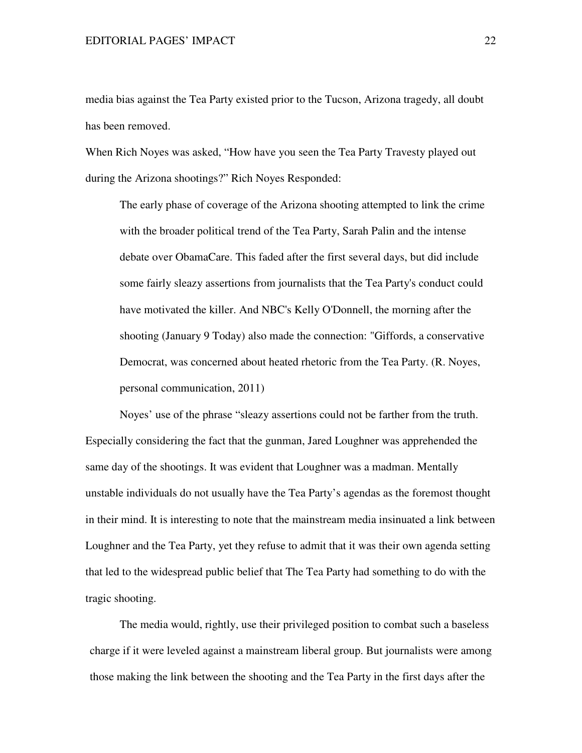media bias against the Tea Party existed prior to the Tucson, Arizona tragedy, all doubt has been removed.

When Rich Noyes was asked, "How have you seen the Tea Party Travesty played out during the Arizona shootings?" Rich Noyes Responded:

The early phase of coverage of the Arizona shooting attempted to link the crime with the broader political trend of the Tea Party, Sarah Palin and the intense debate over ObamaCare. This faded after the first several days, but did include some fairly sleazy assertions from journalists that the Tea Party's conduct could have motivated the killer. And NBC's Kelly O'Donnell, the morning after the shooting (January 9 Today) also made the connection: "Giffords, a conservative Democrat, was concerned about heated rhetoric from the Tea Party. (R. Noyes, personal communication, 2011)

 Noyes' use of the phrase "sleazy assertions could not be farther from the truth. Especially considering the fact that the gunman, Jared Loughner was apprehended the same day of the shootings. It was evident that Loughner was a madman. Mentally unstable individuals do not usually have the Tea Party's agendas as the foremost thought in their mind. It is interesting to note that the mainstream media insinuated a link between Loughner and the Tea Party, yet they refuse to admit that it was their own agenda setting that led to the widespread public belief that The Tea Party had something to do with the tragic shooting.

The media would, rightly, use their privileged position to combat such a baseless charge if it were leveled against a mainstream liberal group. But journalists were among those making the link between the shooting and the Tea Party in the first days after the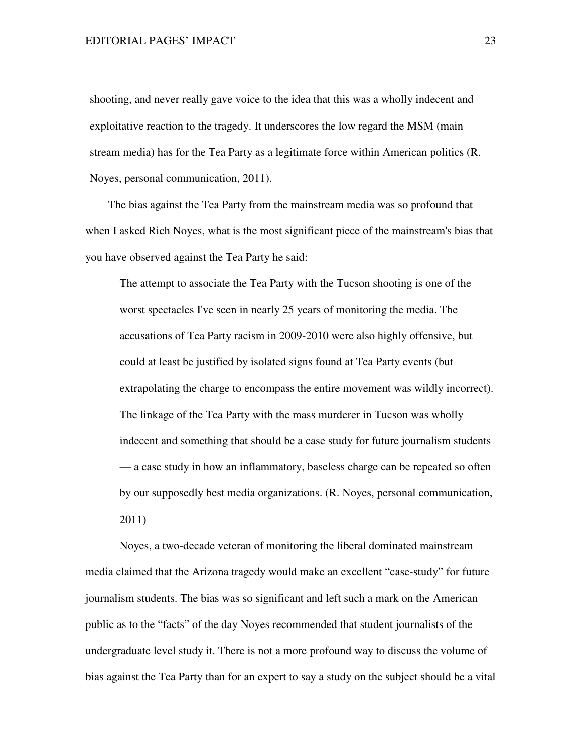shooting, and never really gave voice to the idea that this was a wholly indecent and exploitative reaction to the tragedy. It underscores the low regard the MSM (main stream media) has for the Tea Party as a legitimate force within American politics (R. Noyes, personal communication, 2011).

 The bias against the Tea Party from the mainstream media was so profound that when I asked Rich Noyes, what is the most significant piece of the mainstream's bias that you have observed against the Tea Party he said:

The attempt to associate the Tea Party with the Tucson shooting is one of the worst spectacles I've seen in nearly 25 years of monitoring the media. The accusations of Tea Party racism in 2009-2010 were also highly offensive, but could at least be justified by isolated signs found at Tea Party events (but extrapolating the charge to encompass the entire movement was wildly incorrect). The linkage of the Tea Party with the mass murderer in Tucson was wholly indecent and something that should be a case study for future journalism students — a case study in how an inflammatory, baseless charge can be repeated so often by our supposedly best media organizations. (R. Noyes, personal communication, 2011)

Noyes, a two-decade veteran of monitoring the liberal dominated mainstream media claimed that the Arizona tragedy would make an excellent "case-study" for future journalism students. The bias was so significant and left such a mark on the American public as to the "facts" of the day Noyes recommended that student journalists of the undergraduate level study it. There is not a more profound way to discuss the volume of bias against the Tea Party than for an expert to say a study on the subject should be a vital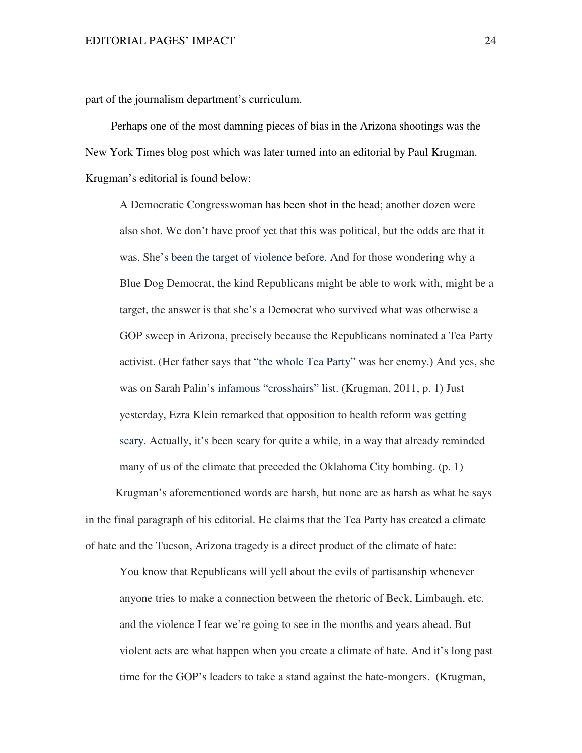part of the journalism department's curriculum.

 Perhaps one of the most damning pieces of bias in the Arizona shootings was the New York Times blog post which was later turned into an editorial by Paul Krugman. Krugman's editorial is found below:

 A Democratic Congresswoman has been shot in the head; another dozen were also shot. We don't have proof yet that this was political, but the odds are that it was. She's been the target of violence before. And for those wondering why a Blue Dog Democrat, the kind Republicans might be able to work with, might be a target, the answer is that she's a Democrat who survived what was otherwise a GOP sweep in Arizona, precisely because the Republicans nominated a Tea Party activist. (Her father says that "the whole Tea Party" was her enemy.) And yes, she was on Sarah Palin's infamous "crosshairs" list. (Krugman, 2011, p. 1) Just yesterday, Ezra Klein remarked that opposition to health reform was getting scary. Actually, it's been scary for quite a while, in a way that already reminded many of us of the climate that preceded the Oklahoma City bombing. (p. 1)

Krugman's aforementioned words are harsh, but none are as harsh as what he says in the final paragraph of his editorial. He claims that the Tea Party has created a climate of hate and the Tucson, Arizona tragedy is a direct product of the climate of hate:

You know that Republicans will yell about the evils of partisanship whenever anyone tries to make a connection between the rhetoric of Beck, Limbaugh, etc. and the violence I fear we're going to see in the months and years ahead. But violent acts are what happen when you create a climate of hate. And it's long past time for the GOP's leaders to take a stand against the hate-mongers. (Krugman,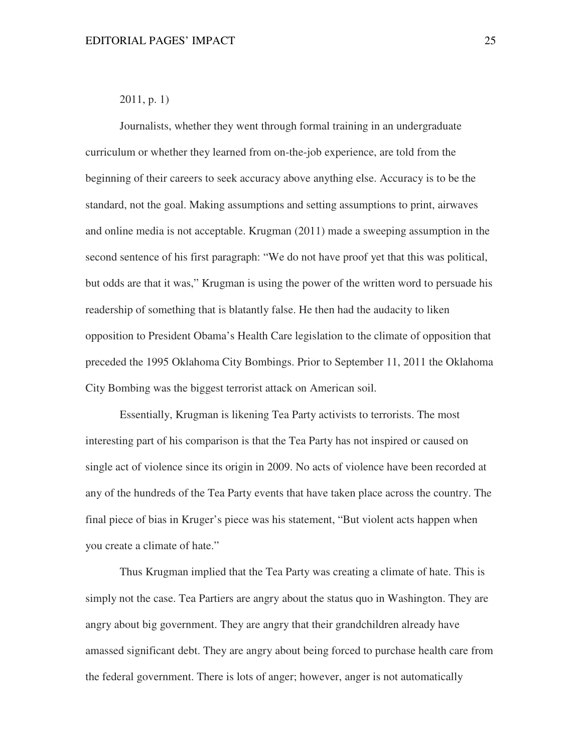# 2011, p. 1)

Journalists, whether they went through formal training in an undergraduate curriculum or whether they learned from on-the-job experience, are told from the beginning of their careers to seek accuracy above anything else. Accuracy is to be the standard, not the goal. Making assumptions and setting assumptions to print, airwaves and online media is not acceptable. Krugman (2011) made a sweeping assumption in the second sentence of his first paragraph: "We do not have proof yet that this was political, but odds are that it was," Krugman is using the power of the written word to persuade his readership of something that is blatantly false. He then had the audacity to liken opposition to President Obama's Health Care legislation to the climate of opposition that preceded the 1995 Oklahoma City Bombings. Prior to September 11, 2011 the Oklahoma City Bombing was the biggest terrorist attack on American soil.

Essentially, Krugman is likening Tea Party activists to terrorists. The most interesting part of his comparison is that the Tea Party has not inspired or caused on single act of violence since its origin in 2009. No acts of violence have been recorded at any of the hundreds of the Tea Party events that have taken place across the country. The final piece of bias in Kruger's piece was his statement, "But violent acts happen when you create a climate of hate."

Thus Krugman implied that the Tea Party was creating a climate of hate. This is simply not the case. Tea Partiers are angry about the status quo in Washington. They are angry about big government. They are angry that their grandchildren already have amassed significant debt. They are angry about being forced to purchase health care from the federal government. There is lots of anger; however, anger is not automatically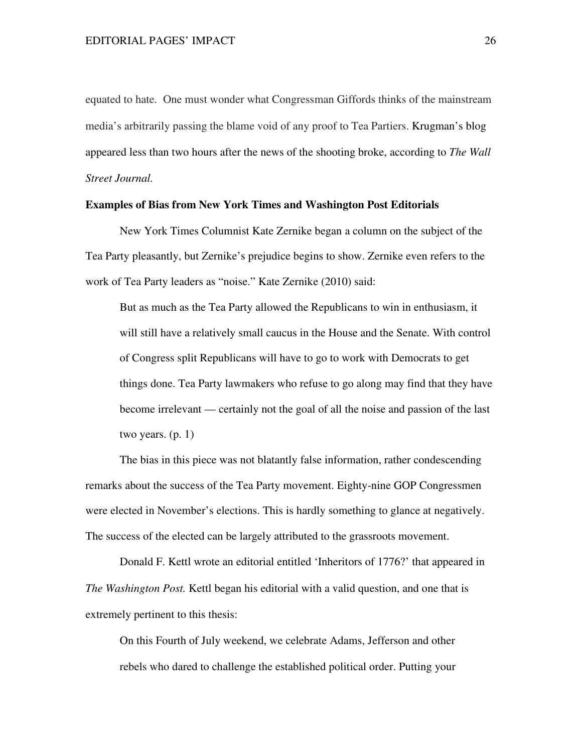equated to hate. One must wonder what Congressman Giffords thinks of the mainstream media's arbitrarily passing the blame void of any proof to Tea Partiers. Krugman's blog appeared less than two hours after the news of the shooting broke, according to *The Wall Street Journal.* 

#### **Examples of Bias from New York Times and Washington Post Editorials**

New York Times Columnist Kate Zernike began a column on the subject of the Tea Party pleasantly, but Zernike's prejudice begins to show. Zernike even refers to the work of Tea Party leaders as "noise." Kate Zernike (2010) said:

 But as much as the Tea Party allowed the Republicans to win in enthusiasm, it will still have a relatively small caucus in the House and the Senate. With control of Congress split Republicans will have to go to work with Democrats to get things done. Tea Party lawmakers who refuse to go along may find that they have become irrelevant — certainly not the goal of all the noise and passion of the last two years. (p. 1)

 The bias in this piece was not blatantly false information, rather condescending remarks about the success of the Tea Party movement. Eighty-nine GOP Congressmen were elected in November's elections. This is hardly something to glance at negatively. The success of the elected can be largely attributed to the grassroots movement.

Donald F. Kettl wrote an editorial entitled 'Inheritors of 1776?' that appeared in *The Washington Post.* Kettl began his editorial with a valid question, and one that is extremely pertinent to this thesis:

 On this Fourth of July weekend, we celebrate Adams, Jefferson and other rebels who dared to challenge the established political order. Putting your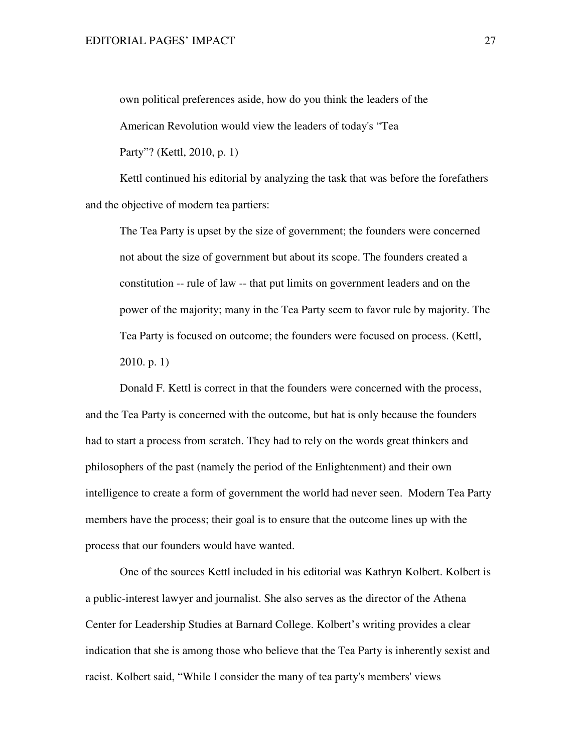own political preferences aside, how do you think the leaders of the

American Revolution would view the leaders of today's "Tea

Party"? (Kettl, 2010, p. 1)

Kettl continued his editorial by analyzing the task that was before the forefathers and the objective of modern tea partiers:

The Tea Party is upset by the size of government; the founders were concerned not about the size of government but about its scope. The founders created a constitution -- rule of law -- that put limits on government leaders and on the power of the majority; many in the Tea Party seem to favor rule by majority. The Tea Party is focused on outcome; the founders were focused on process. (Kettl, 2010. p. 1)

Donald F. Kettl is correct in that the founders were concerned with the process, and the Tea Party is concerned with the outcome, but hat is only because the founders had to start a process from scratch. They had to rely on the words great thinkers and philosophers of the past (namely the period of the Enlightenment) and their own intelligence to create a form of government the world had never seen. Modern Tea Party members have the process; their goal is to ensure that the outcome lines up with the process that our founders would have wanted.

One of the sources Kettl included in his editorial was Kathryn Kolbert. Kolbert is a public-interest lawyer and journalist. She also serves as the director of the Athena Center for Leadership Studies at Barnard College. Kolbert's writing provides a clear indication that she is among those who believe that the Tea Party is inherently sexist and racist. Kolbert said, "While I consider the many of tea party's members' views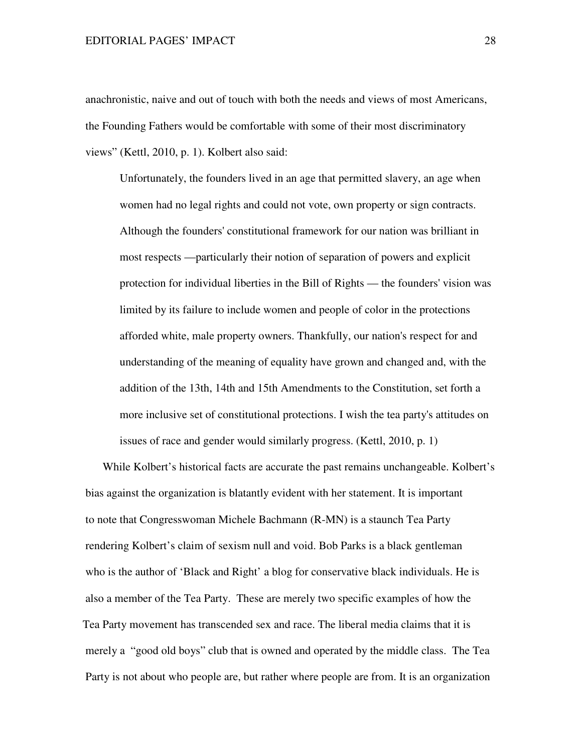#### EDITORIAL PAGES' IMPACT 28

anachronistic, naive and out of touch with both the needs and views of most Americans, the Founding Fathers would be comfortable with some of their most discriminatory views" (Kettl, 2010, p. 1). Kolbert also said:

Unfortunately, the founders lived in an age that permitted slavery, an age when women had no legal rights and could not vote, own property or sign contracts. Although the founders' constitutional framework for our nation was brilliant in most respects —particularly their notion of separation of powers and explicit protection for individual liberties in the Bill of Rights — the founders' vision was limited by its failure to include women and people of color in the protections afforded white, male property owners. Thankfully, our nation's respect for and understanding of the meaning of equality have grown and changed and, with the addition of the 13th, 14th and 15th Amendments to the Constitution, set forth a more inclusive set of constitutional protections. I wish the tea party's attitudes on issues of race and gender would similarly progress. (Kettl, 2010, p. 1)

 While Kolbert's historical facts are accurate the past remains unchangeable. Kolbert's bias against the organization is blatantly evident with her statement. It is important to note that Congresswoman Michele Bachmann (R-MN) is a staunch Tea Party rendering Kolbert's claim of sexism null and void. Bob Parks is a black gentleman who is the author of 'Black and Right' a blog for conservative black individuals. He is also a member of the Tea Party. These are merely two specific examples of how the Tea Party movement has transcended sex and race. The liberal media claims that it is merely a "good old boys" club that is owned and operated by the middle class. The Tea Party is not about who people are, but rather where people are from. It is an organization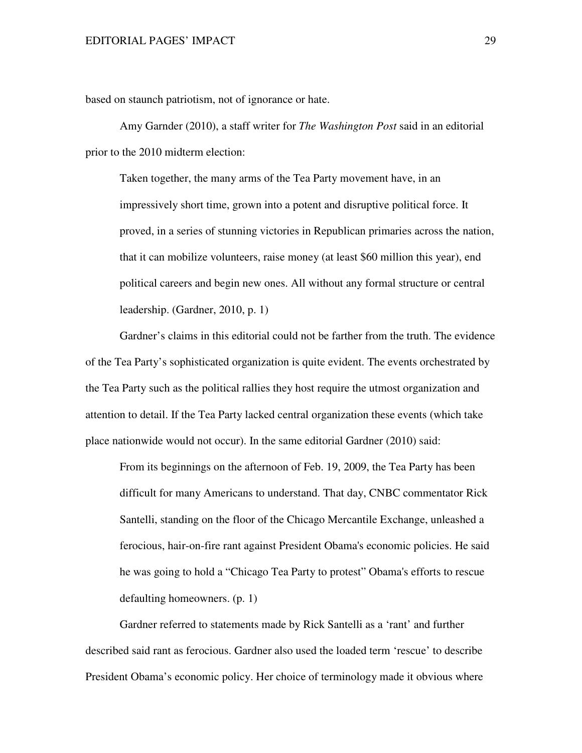based on staunch patriotism, not of ignorance or hate.

 Amy Garnder (2010), a staff writer for *The Washington Post* said in an editorial prior to the 2010 midterm election:

Taken together, the many arms of the Tea Party movement have, in an impressively short time, grown into a potent and disruptive political force. It proved, in a series of stunning victories in Republican primaries across the nation, that it can mobilize volunteers, raise money (at least \$60 million this year), end political careers and begin new ones. All without any formal structure or central leadership. (Gardner, 2010, p. 1)

Gardner's claims in this editorial could not be farther from the truth. The evidence of the Tea Party's sophisticated organization is quite evident. The events orchestrated by the Tea Party such as the political rallies they host require the utmost organization and attention to detail. If the Tea Party lacked central organization these events (which take place nationwide would not occur). In the same editorial Gardner (2010) said:

From its beginnings on the afternoon of Feb. 19, 2009, the Tea Party has been difficult for many Americans to understand. That day, CNBC commentator Rick Santelli, standing on the floor of the Chicago Mercantile Exchange, unleashed a ferocious, hair-on-fire rant against President Obama's economic policies. He said he was going to hold a "Chicago Tea Party to protest" Obama's efforts to rescue defaulting homeowners. (p. 1)

Gardner referred to statements made by Rick Santelli as a 'rant' and further described said rant as ferocious. Gardner also used the loaded term 'rescue' to describe President Obama's economic policy. Her choice of terminology made it obvious where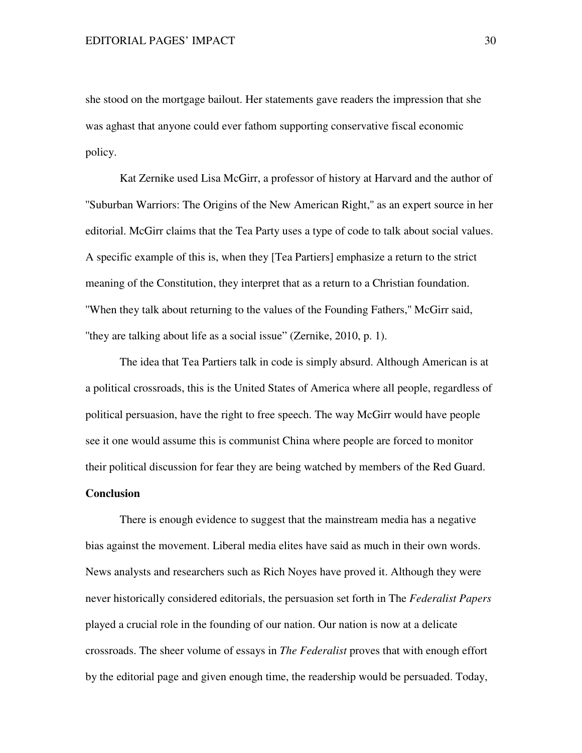she stood on the mortgage bailout. Her statements gave readers the impression that she was aghast that anyone could ever fathom supporting conservative fiscal economic policy.

 Kat Zernike used Lisa McGirr, a professor of history at Harvard and the author of ''Suburban Warriors: The Origins of the New American Right,'' as an expert source in her editorial. McGirr claims that the Tea Party uses a type of code to talk about social values. A specific example of this is, when they [Tea Partiers] emphasize a return to the strict meaning of the Constitution, they interpret that as a return to a Christian foundation. ''When they talk about returning to the values of the Founding Fathers,'' McGirr said, ''they are talking about life as a social issue" (Zernike, 2010, p. 1).

The idea that Tea Partiers talk in code is simply absurd. Although American is at a political crossroads, this is the United States of America where all people, regardless of political persuasion, have the right to free speech. The way McGirr would have people see it one would assume this is communist China where people are forced to monitor their political discussion for fear they are being watched by members of the Red Guard. **Conclusion** 

There is enough evidence to suggest that the mainstream media has a negative bias against the movement. Liberal media elites have said as much in their own words. News analysts and researchers such as Rich Noyes have proved it. Although they were never historically considered editorials, the persuasion set forth in The *Federalist Papers* played a crucial role in the founding of our nation. Our nation is now at a delicate crossroads. The sheer volume of essays in *The Federalist* proves that with enough effort by the editorial page and given enough time, the readership would be persuaded. Today,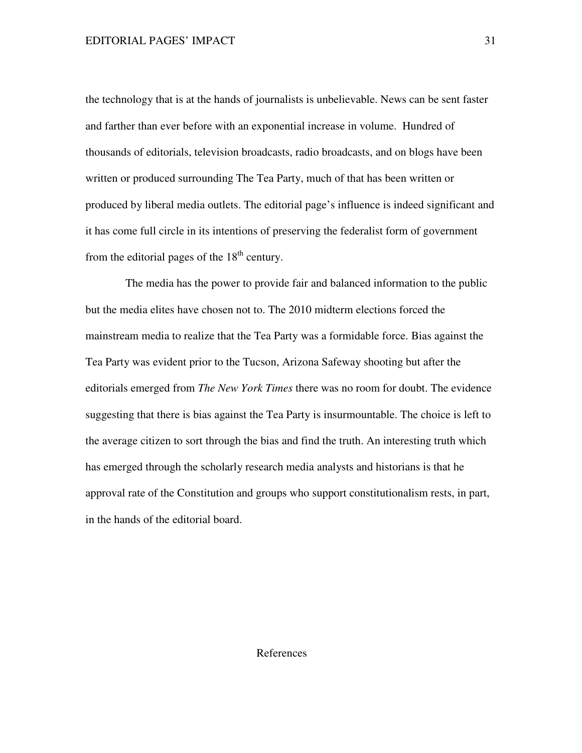the technology that is at the hands of journalists is unbelievable. News can be sent faster and farther than ever before with an exponential increase in volume. Hundred of thousands of editorials, television broadcasts, radio broadcasts, and on blogs have been written or produced surrounding The Tea Party, much of that has been written or produced by liberal media outlets. The editorial page's influence is indeed significant and it has come full circle in its intentions of preserving the federalist form of government from the editorial pages of the  $18<sup>th</sup>$  century.

The media has the power to provide fair and balanced information to the public but the media elites have chosen not to. The 2010 midterm elections forced the mainstream media to realize that the Tea Party was a formidable force. Bias against the Tea Party was evident prior to the Tucson, Arizona Safeway shooting but after the editorials emerged from *The New York Times* there was no room for doubt. The evidence suggesting that there is bias against the Tea Party is insurmountable. The choice is left to the average citizen to sort through the bias and find the truth. An interesting truth which has emerged through the scholarly research media analysts and historians is that he approval rate of the Constitution and groups who support constitutionalism rests, in part, in the hands of the editorial board.

# References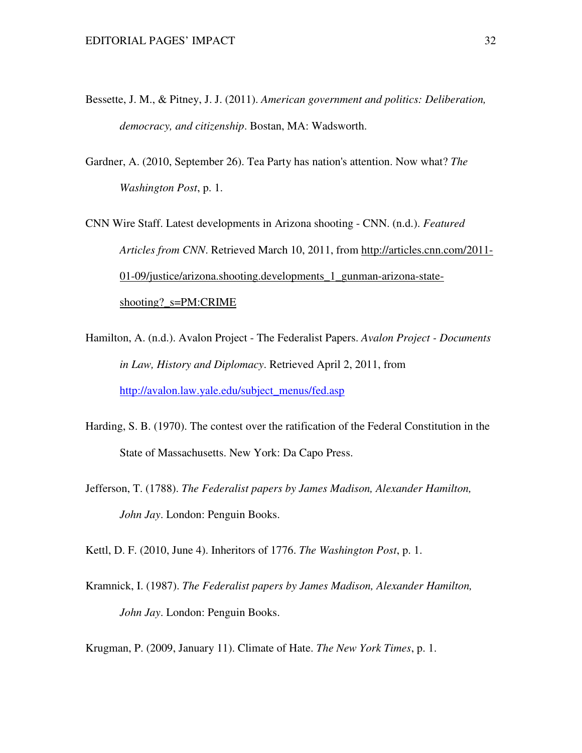- Bessette, J. M., & Pitney, J. J. (2011). *American government and politics: Deliberation, democracy, and citizenship*. Bostan, MA: Wadsworth.
- Gardner, A. (2010, September 26). Tea Party has nation's attention. Now what? *The Washington Post*, p. 1.
- CNN Wire Staff. Latest developments in Arizona shooting CNN. (n.d.). *Featured Articles from CNN*. Retrieved March 10, 2011, from http://articles.cnn.com/2011- 01-09/justice/arizona.shooting.developments\_1\_gunman-arizona-stateshooting?\_s=PM:CRIME
- Hamilton, A. (n.d.). Avalon Project The Federalist Papers. *Avalon Project Documents in Law, History and Diplomacy*. Retrieved April 2, 2011, from http://avalon.law.yale.edu/subject\_menus/fed.asp
- Harding, S. B. (1970). The contest over the ratification of the Federal Constitution in the State of Massachusetts. New York: Da Capo Press.
- Jefferson, T. (1788). *The Federalist papers by James Madison, Alexander Hamilton, John Jay*. London: Penguin Books.

Kettl, D. F. (2010, June 4). Inheritors of 1776. *The Washington Post*, p. 1.

Kramnick, I. (1987). *The Federalist papers by James Madison, Alexander Hamilton, John Jay*. London: Penguin Books.

Krugman, P. (2009, January 11). Climate of Hate. *The New York Times*, p. 1.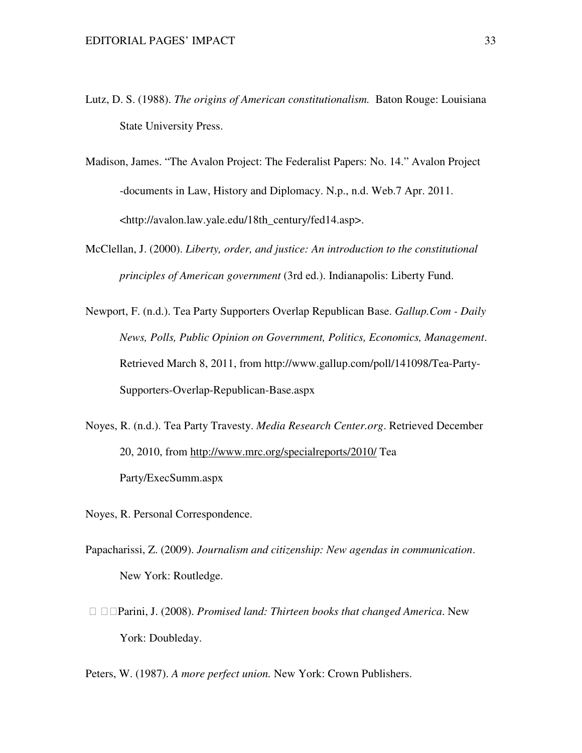- Lutz, D. S. (1988). *The origins of American constitutionalism.* Baton Rouge: Louisiana State University Press.
- Madison, James. "The Avalon Project: The Federalist Papers: No. 14." Avalon Project -documents in Law, History and Diplomacy. N.p., n.d. Web.7 Apr. 2011. <http://avalon.law.yale.edu/18th\_century/fed14.asp>.
- McClellan, J. (2000). *Liberty, order, and justice: An introduction to the constitutional principles of American government* (3rd ed.). Indianapolis: Liberty Fund.
- Newport, F. (n.d.). Tea Party Supporters Overlap Republican Base. *Gallup.Com Daily News, Polls, Public Opinion on Government, Politics, Economics, Management*. Retrieved March 8, 2011, from http://www.gallup.com/poll/141098/Tea-Party-Supporters-Overlap-Republican-Base.aspx
- Noyes, R. (n.d.). Tea Party Travesty. *Media Research Center.org*. Retrieved December 20, 2010, from http://www.mrc.org/specialreports/2010/ Tea Party/ExecSumm.aspx
- Noyes, R. Personal Correspondence.
- Papacharissi, Z. (2009). *Journalism and citizenship: New agendas in communication*. New York: Routledge.
	- Parini, J. (2008). *Promised land: Thirteen books that changed America*. New York: Doubleday.

Peters, W. (1987). *A more perfect union.* New York: Crown Publishers.